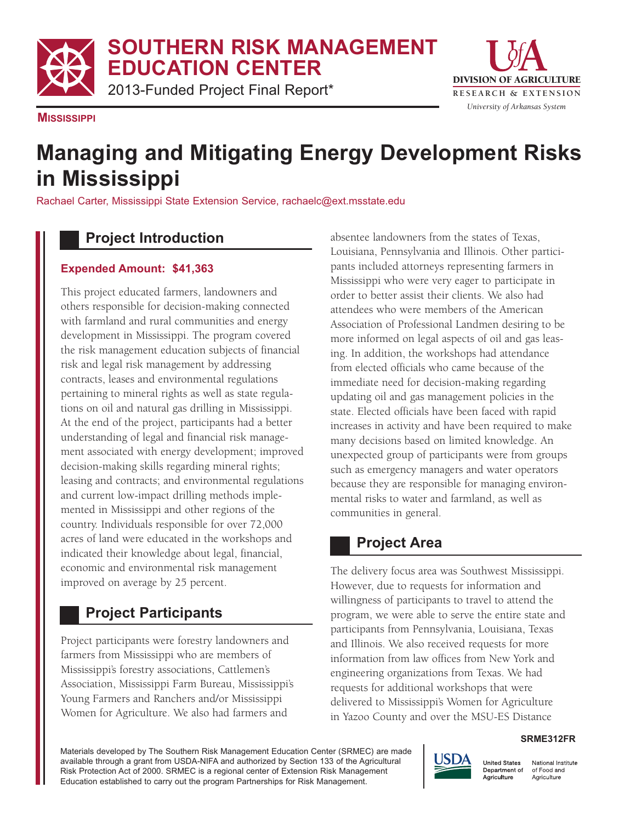**SOUTHERN RISK MANAGEMENT EDUCATION CENTER**

2013-Funded Project Final Report\*



**MISSISSIPPI**

# **Managing and Mitigating Energy Development Risks in Mississippi**

Rachael Carter, Mississippi State Extension Service, rachaelc@ext.msstate.edu

## **Project Introduction**

#### **Expended Amount: \$41,363**

This project educated farmers, landowners and others responsible for decision-making connected with farmland and rural communities and energy development in Mississippi. The program covered the risk management education subjects of financial risk and legal risk management by addressing contracts, leases and environmental regulations pertaining to mineral rights as well as state regulations on oil and natural gas drilling in Mississippi. At the end of the project, participants had a better understanding of legal and financial risk management associated with energy development; improved decision-making skills regarding mineral rights; leasing and contracts; and environmental regulations and current low-impact drilling methods implemented in Mississippi and other regions of the country. Individuals responsible for over 72,000 acres of land were educated in the workshops and indicated their knowledge about legal, financial, economic and environmental risk management improved on average by 25 percent.

## **Project Participants**

Project participants were forestry landowners and farmers from Mississippi who are members of Mississippi's forestry associations, Cattlemen's Association, Mississippi Farm Bureau, Mississippi's Young Farmers and Ranchers and/or Mississippi Women for Agriculture. We also had farmers and

absentee landowners from the states of Texas, Louisiana, Pennsylvania and Illinois. Other participants included attorneys representing farmers in Mississippi who were very eager to participate in order to better assist their clients. We also had attendees who were members of the American Association of Professional Landmen desiring to be more informed on legal aspects of oil and gas leasing. In addition, the workshops had attendance from elected officials who came because of the immediate need for decision-making regarding updating oil and gas management policies in the state. Elected officials have been faced with rapid increases in activity and have been required to make many decisions based on limited knowledge. An unexpected group of participants were from groups such as emergency managers and water operators because they are responsible for managing environmental risks to water and farmland, as well as communities in general.

# **Project Area**

The delivery focus area was Southwest Mississippi. However, due to requests for information and willingness of participants to travel to attend the program, we were able to serve the entire state and participants from Pennsylvania, Louisiana, Texas and Illinois. We also received requests for more information from law offices from New York and engineering organizations from Texas. We had requests for additional workshops that were delivered to Mississippi's Women for Agriculture in Yazoo County and over the MSU-ES Distance

#### **SRME312FR**

Materials developed by The Southern Risk Management Education Center (SRMEC) are made available through a grant from USDA-NIFA and authorized by Section 133 of the Agricultural Risk Protection Act of 2000. SRMEC is a regional center of Extension Risk Management Education established to carry out the program Partnerships for Risk Management.



National Institute of Food and Agriculture